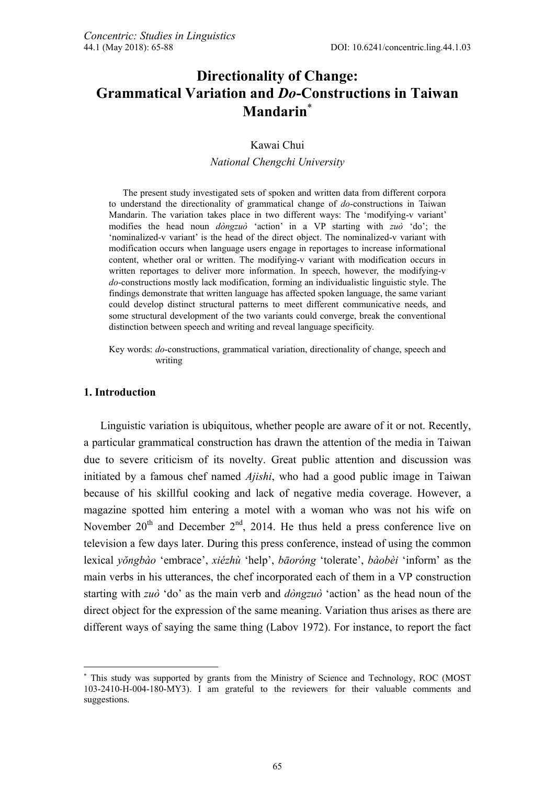# **Directionality of Change: Grammatical Variation and** *Do***-Constructions in Taiwan Mandarin**

### Kawai Chui

#### *National Chengchi University*

The present study investigated sets of spoken and written data from different corpora to understand the directionality of grammatical change of *do*-constructions in Taiwan Mandarin. The variation takes place in two different ways: The 'modifying-v variant' modifies the head noun *dòngzuò* 'action' in a VP starting with *zuò* 'do'; the 'nominalized-v variant' is the head of the direct object. The nominalized-v variant with modification occurs when language users engage in reportages to increase informational content, whether oral or written. The modifying-v variant with modification occurs in written reportages to deliver more information. In speech, however, the modifying-v *do*-constructions mostly lack modification, forming an individualistic linguistic style. The findings demonstrate that written language has affected spoken language, the same variant could develop distinct structural patterns to meet different communicative needs, and some structural development of the two variants could converge, break the conventional distinction between speech and writing and reveal language specificity.

Key words: *do*-constructions, grammatical variation, directionality of change, speech and writing

#### **1. Introduction**

 $\overline{a}$ 

Linguistic variation is ubiquitous, whether people are aware of it or not. Recently, a particular grammatical construction has drawn the attention of the media in Taiwan due to severe criticism of its novelty. Great public attention and discussion was initiated by a famous chef named *Ajishi*, who had a good public image in Taiwan because of his skillful cooking and lack of negative media coverage. However, a magazine spotted him entering a motel with a woman who was not his wife on November  $20<sup>th</sup>$  and December  $2<sup>nd</sup>$ , 2014. He thus held a press conference live on television a few days later. During this press conference, instead of using the common lexical *yŏngbào* 'embrace', *xiézhù* 'help', *bāoróng* 'tolerate', *bàobèi* 'inform' as the main verbs in his utterances, the chef incorporated each of them in a VP construction starting with *zuò* 'do' as the main verb and *dòngzuò* 'action' as the head noun of the direct object for the expression of the same meaning. Variation thus arises as there are different ways of saying the same thing (Labov 1972). For instance, to report the fact

 This study was supported by grants from the Ministry of Science and Technology, ROC (MOST 103-2410-H-004-180-MY3). I am grateful to the reviewers for their valuable comments and suggestions.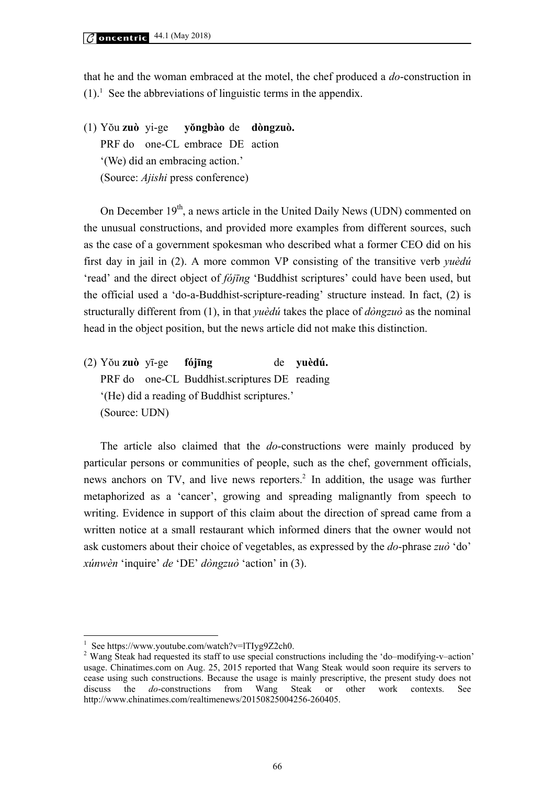that he and the woman embraced at the motel, the chef produced a *do*-construction in  $(1)$ .<sup>1</sup> See the abbreviations of linguistic terms in the appendix.

(1) Yŏu **zuò** yi-ge **yŏngbào** de **dòngzuò.** PRF do one-CL embrace DE action '(We) did an embracing action.' (Source: *Ajishi* press conference)

On December  $19<sup>th</sup>$ , a news article in the United Daily News (UDN) commented on the unusual constructions, and provided more examples from different sources, such as the case of a government spokesman who described what a former CEO did on his first day in jail in (2). A more common VP consisting of the transitive verb *yuèdú* 'read' and the direct object of *fójīng* 'Buddhist scriptures' could have been used, but the official used a 'do-a-Buddhist-scripture-reading' structure instead. In fact, (2) is structurally different from (1), in that *yuèdú* takes the place of *dòngzuò* as the nominal head in the object position, but the news article did not make this distinction.

(2) Yŏu **zuò** yī-ge **fójīng** de **yuèdú.** PRF do one-CL Buddhist.scriptures DE reading '(He) did a reading of Buddhist scriptures.' (Source: UDN)

The article also claimed that the *do*-constructions were mainly produced by particular persons or communities of people, such as the chef, government officials, news anchors on TV, and live news reporters.<sup>2</sup> In addition, the usage was further metaphorized as a 'cancer', growing and spreading malignantly from speech to writing. Evidence in support of this claim about the direction of spread came from a written notice at a small restaurant which informed diners that the owner would not ask customers about their choice of vegetables, as expressed by the *do*-phrase *zuò* 'do' *xúnwèn* 'inquire' *de* 'DE' *dòngzuò* 'action' in (3).

 $\overline{a}$ 

<sup>1</sup> See https://www.youtube.com/watch?v=lTIyg9Z2ch0.

<sup>2</sup> Wang Steak had requested its staff to use special constructions including the 'do–modifying-v–action' usage. Chinatimes.com on Aug. 25, 2015 reported that Wang Steak would soon require its servers to cease using such constructions. Because the usage is mainly prescriptive, the present study does not discuss the *do*-constructions from Wang Steak or other work contexts. See http://www.chinatimes.com/realtimenews/20150825004256-260405.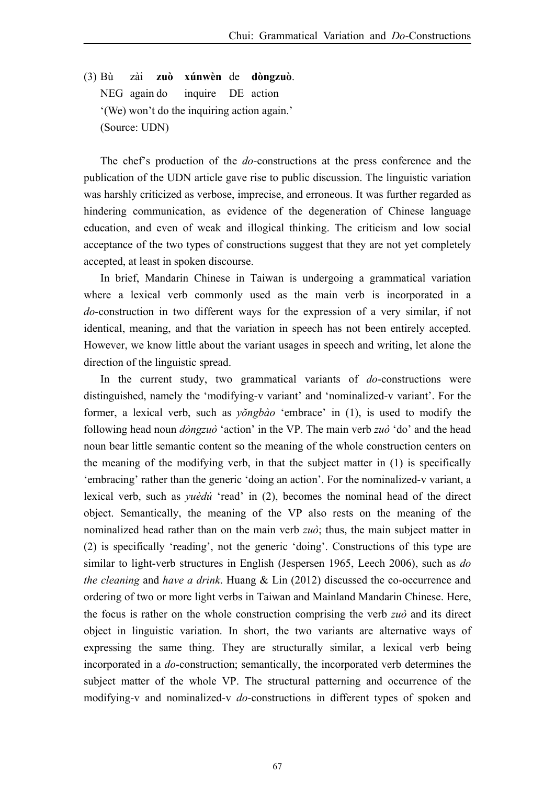(3) Bù zài **zuò xúnwèn** de **dòngzuò**. NEG again do inquire DE action '(We) won't do the inquiring action again.' (Source: UDN)

The chef's production of the *do*-constructions at the press conference and the publication of the UDN article gave rise to public discussion. The linguistic variation was harshly criticized as verbose, imprecise, and erroneous. It was further regarded as hindering communication, as evidence of the degeneration of Chinese language education, and even of weak and illogical thinking. The criticism and low social acceptance of the two types of constructions suggest that they are not yet completely accepted, at least in spoken discourse.

In brief, Mandarin Chinese in Taiwan is undergoing a grammatical variation where a lexical verb commonly used as the main verb is incorporated in a *do*-construction in two different ways for the expression of a very similar, if not identical, meaning, and that the variation in speech has not been entirely accepted. However, we know little about the variant usages in speech and writing, let alone the direction of the linguistic spread.

In the current study, two grammatical variants of *do*-constructions were distinguished, namely the 'modifying-v variant' and 'nominalized-v variant'. For the former, a lexical verb, such as *yŏngbào* 'embrace' in (1), is used to modify the following head noun *dòngzuò* 'action' in the VP. The main verb *zuò* 'do' and the head noun bear little semantic content so the meaning of the whole construction centers on the meaning of the modifying verb, in that the subject matter in (1) is specifically 'embracing' rather than the generic 'doing an action'. For the nominalized-v variant, a lexical verb, such as *yuèdú* 'read' in (2), becomes the nominal head of the direct object. Semantically, the meaning of the VP also rests on the meaning of the nominalized head rather than on the main verb *zuò*; thus, the main subject matter in (2) is specifically 'reading', not the generic 'doing'. Constructions of this type are similar to light-verb structures in English (Jespersen 1965, Leech 2006), such as *do the cleaning* and *have a drink*. Huang & Lin (2012) discussed the co-occurrence and ordering of two or more light verbs in Taiwan and Mainland Mandarin Chinese. Here, the focus is rather on the whole construction comprising the verb *zuò* and its direct object in linguistic variation. In short, the two variants are alternative ways of expressing the same thing. They are structurally similar, a lexical verb being incorporated in a *do*-construction; semantically, the incorporated verb determines the subject matter of the whole VP. The structural patterning and occurrence of the modifying-v and nominalized-v *do*-constructions in different types of spoken and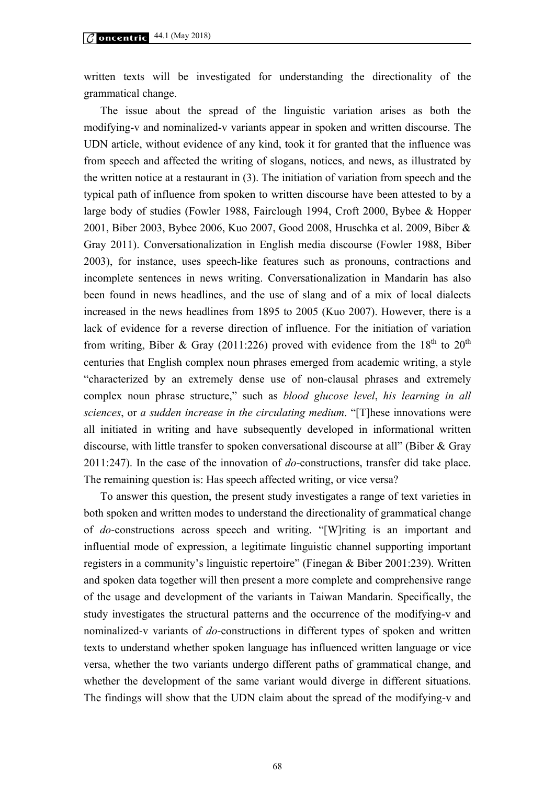written texts will be investigated for understanding the directionality of the grammatical change.

The issue about the spread of the linguistic variation arises as both the modifying-v and nominalized-v variants appear in spoken and written discourse. The UDN article, without evidence of any kind, took it for granted that the influence was from speech and affected the writing of slogans, notices, and news, as illustrated by the written notice at a restaurant in (3). The initiation of variation from speech and the typical path of influence from spoken to written discourse have been attested to by a large body of studies (Fowler 1988, Fairclough 1994, Croft 2000, Bybee & Hopper 2001, Biber 2003, Bybee 2006, Kuo 2007, Good 2008, Hruschka et al. 2009, Biber & Gray 2011). Conversationalization in English media discourse (Fowler 1988, Biber 2003), for instance, uses speech-like features such as pronouns, contractions and incomplete sentences in news writing. Conversationalization in Mandarin has also been found in news headlines, and the use of slang and of a mix of local dialects increased in the news headlines from 1895 to 2005 (Kuo 2007). However, there is a lack of evidence for a reverse direction of influence. For the initiation of variation from writing, Biber & Gray (2011:226) proved with evidence from the  $18<sup>th</sup>$  to  $20<sup>th</sup>$ centuries that English complex noun phrases emerged from academic writing, a style "characterized by an extremely dense use of non-clausal phrases and extremely complex noun phrase structure," such as *blood glucose level*, *his learning in all sciences*, or *a sudden increase in the circulating medium*. "[T]hese innovations were all initiated in writing and have subsequently developed in informational written discourse, with little transfer to spoken conversational discourse at all" (Biber & Gray 2011:247). In the case of the innovation of *do*-constructions, transfer did take place. The remaining question is: Has speech affected writing, or vice versa?

To answer this question, the present study investigates a range of text varieties in both spoken and written modes to understand the directionality of grammatical change of *do*-constructions across speech and writing. "[W]riting is an important and influential mode of expression, a legitimate linguistic channel supporting important registers in a community's linguistic repertoire" (Finegan & Biber 2001:239). Written and spoken data together will then present a more complete and comprehensive range of the usage and development of the variants in Taiwan Mandarin. Specifically, the study investigates the structural patterns and the occurrence of the modifying-v and nominalized-v variants of *do*-constructions in different types of spoken and written texts to understand whether spoken language has influenced written language or vice versa, whether the two variants undergo different paths of grammatical change, and whether the development of the same variant would diverge in different situations. The findings will show that the UDN claim about the spread of the modifying-v and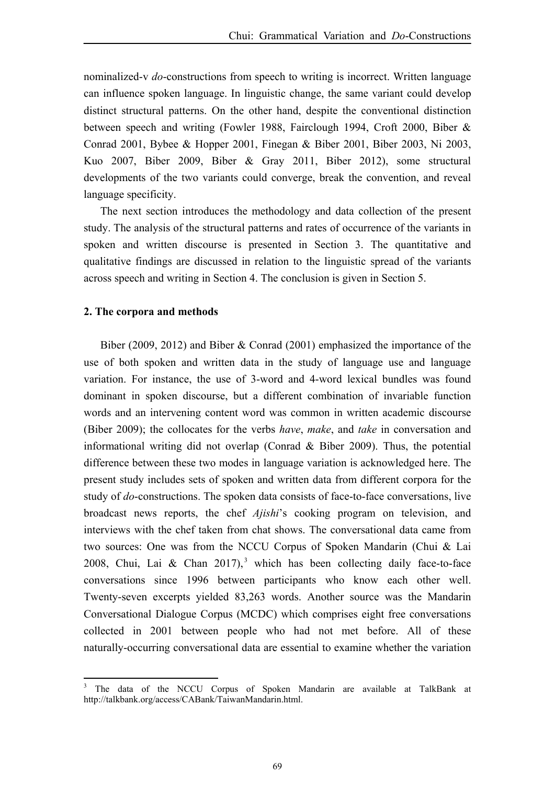nominalized-v *do*-constructions from speech to writing is incorrect. Written language can influence spoken language. In linguistic change, the same variant could develop distinct structural patterns. On the other hand, despite the conventional distinction between speech and writing (Fowler 1988, Fairclough 1994, Croft 2000, Biber & Conrad 2001, Bybee & Hopper 2001, Finegan & Biber 2001, Biber 2003, Ni 2003, Kuo 2007, Biber 2009, Biber & Gray 2011, Biber 2012), some structural developments of the two variants could converge, break the convention, and reveal language specificity.

The next section introduces the methodology and data collection of the present study. The analysis of the structural patterns and rates of occurrence of the variants in spoken and written discourse is presented in Section 3. The quantitative and qualitative findings are discussed in relation to the linguistic spread of the variants across speech and writing in Section 4. The conclusion is given in Section 5.

#### **2. The corpora and methods**

 $\overline{a}$ 

Biber (2009, 2012) and Biber & Conrad (2001) emphasized the importance of the use of both spoken and written data in the study of language use and language variation. For instance, the use of 3-word and 4-word lexical bundles was found dominant in spoken discourse, but a different combination of invariable function words and an intervening content word was common in written academic discourse (Biber 2009); the collocates for the verbs *have*, *make*, and *take* in conversation and informational writing did not overlap (Conrad & Biber 2009). Thus, the potential difference between these two modes in language variation is acknowledged here. The present study includes sets of spoken and written data from different corpora for the study of *do*-constructions. The spoken data consists of face-to-face conversations, live broadcast news reports, the chef *Ajishi*'s cooking program on television, and interviews with the chef taken from chat shows. The conversational data came from two sources: One was from the NCCU Corpus of Spoken Mandarin (Chui & Lai 2008, Chui, Lai & Chan 2017),<sup>3</sup> which has been collecting daily face-to-face conversations since 1996 between participants who know each other well. Twenty-seven excerpts yielded 83,263 words. Another source was the Mandarin Conversational Dialogue Corpus (MCDC) which comprises eight free conversations collected in 2001 between people who had not met before. All of these naturally-occurring conversational data are essential to examine whether the variation

<sup>3</sup> The data of the NCCU Corpus of Spoken Mandarin are available at TalkBank at http://talkbank.org/access/CABank/TaiwanMandarin.html.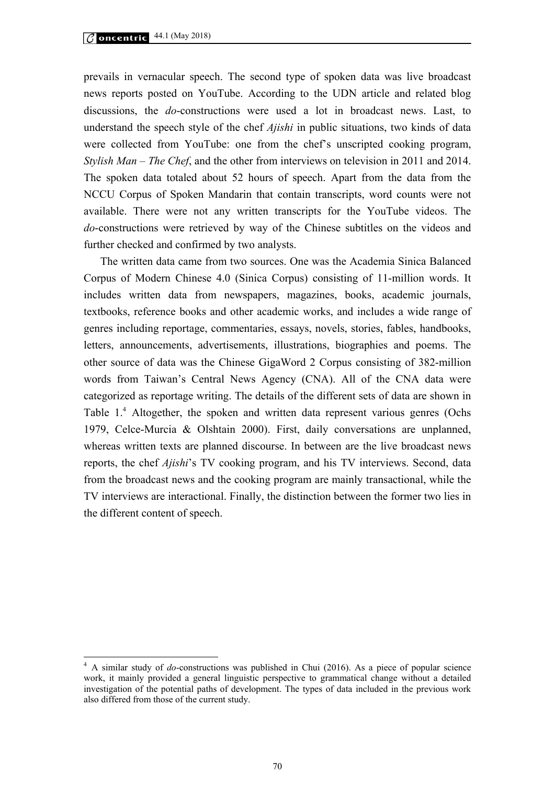$\overline{a}$ 

prevails in vernacular speech. The second type of spoken data was live broadcast news reports posted on YouTube. According to the UDN article and related blog discussions, the *do*-constructions were used a lot in broadcast news. Last, to understand the speech style of the chef *Ajishi* in public situations, two kinds of data were collected from YouTube: one from the chef's unscripted cooking program, *Stylish Man – The Chef*, and the other from interviews on television in 2011 and 2014. The spoken data totaled about 52 hours of speech. Apart from the data from the NCCU Corpus of Spoken Mandarin that contain transcripts, word counts were not available. There were not any written transcripts for the YouTube videos. The *do*-constructions were retrieved by way of the Chinese subtitles on the videos and further checked and confirmed by two analysts.

The written data came from two sources. One was the Academia Sinica Balanced Corpus of Modern Chinese 4.0 (Sinica Corpus) consisting of 11-million words. It includes written data from newspapers, magazines, books, academic journals, textbooks, reference books and other academic works, and includes a wide range of genres including reportage, commentaries, essays, novels, stories, fables, handbooks, letters, announcements, advertisements, illustrations, biographies and poems. The other source of data was the Chinese GigaWord 2 Corpus consisting of 382-million words from Taiwan's Central News Agency (CNA). All of the CNA data were categorized as reportage writing. The details of the different sets of data are shown in Table 1.<sup>4</sup> Altogether, the spoken and written data represent various genres (Ochs 1979, Celce-Murcia & Olshtain 2000). First, daily conversations are unplanned, whereas written texts are planned discourse. In between are the live broadcast news reports, the chef *Ajishi*'s TV cooking program, and his TV interviews. Second, data from the broadcast news and the cooking program are mainly transactional, while the TV interviews are interactional. Finally, the distinction between the former two lies in the different content of speech.

<sup>4</sup> A similar study of *do*-constructions was published in Chui (2016). As a piece of popular science work, it mainly provided a general linguistic perspective to grammatical change without a detailed investigation of the potential paths of development. The types of data included in the previous work also differed from those of the current study.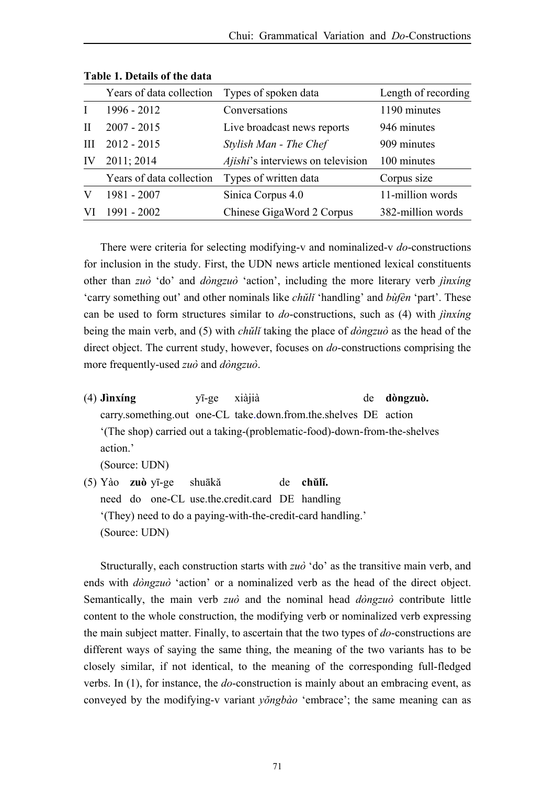|    | Years of data collection | Types of spoken data              | Length of recording |
|----|--------------------------|-----------------------------------|---------------------|
|    | 1996 - 2012              | Conversations                     | 1190 minutes        |
| H  | $2007 - 2015$            | Live broadcast news reports       | 946 minutes         |
| Ш  | $2012 - 2015$            | Stylish Man - The Chef            | 909 minutes         |
| IV | 2011; 2014               | Ajishi's interviews on television | 100 minutes         |
|    | Years of data collection | Types of written data             | Corpus size         |
|    | 1981 - 2007              | Sinica Corpus 4.0                 | 11-million words    |
|    | $1991 - 2002$            | Chinese GigaWord 2 Corpus         | 382-million words   |

**Table 1. Details of the data** 

There were criteria for selecting modifying-v and nominalized-v *do*-constructions for inclusion in the study. First, the UDN news article mentioned lexical constituents other than *zuò* 'do' and *dòngzuò* 'action', including the more literary verb *jìnxíng* 'carry something out' and other nominals like *chŭlǐ* 'handling' and *bùfèn* 'part'. These can be used to form structures similar to *do*-constructions, such as (4) with *jìnxíng* being the main verb, and (5) with *chŭlǐ* taking the place of *dòngzuò* as the head of the direct object. The current study, however, focuses on *do*-constructions comprising the more frequently-used *zuò* and *dòngzuò*.

(4) **Jìnxíng** yī-ge xiàjià de **dòngzuò.** carry.something.out one-CL take.down.from.the.shelves DE action '(The shop) carried out a taking-(problematic-food)-down-from-the-shelves action.'

(Source: UDN)

(5) Yào **zuò** yī-ge shuākă de **chŭlǐ.** need do one-CL use.the.credit.card DE handling '(They) need to do a paying-with-the-credit-card handling.' (Source: UDN)

Structurally, each construction starts with *zuò* 'do' as the transitive main verb, and ends with *dòngzuò* 'action' or a nominalized verb as the head of the direct object. Semantically, the main verb *zuò* and the nominal head *dòngzuò* contribute little content to the whole construction, the modifying verb or nominalized verb expressing the main subject matter. Finally, to ascertain that the two types of *do*-constructions are different ways of saying the same thing, the meaning of the two variants has to be closely similar, if not identical, to the meaning of the corresponding full-fledged verbs. In (1), for instance, the *do*-construction is mainly about an embracing event, as conveyed by the modifying-v variant *yŏngbào* 'embrace'; the same meaning can as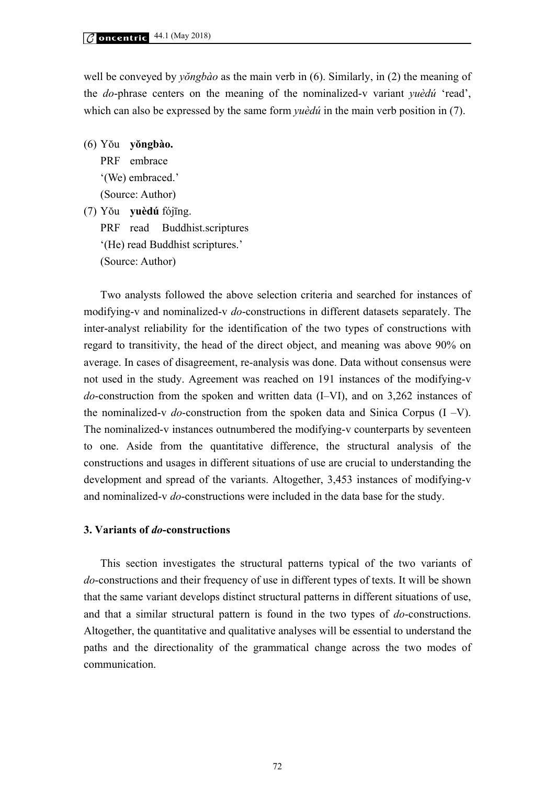well be conveyed by *yŏngbào* as the main verb in (6). Similarly, in (2) the meaning of the *do*-phrase centers on the meaning of the nominalized-v variant *yuèdú* 'read', which can also be expressed by the same form *yuèdú* in the main verb position in (7).

(6) Yŏu **yŏngbào.** PRF embrace '(We) embraced.' (Source: Author) (7) Yŏu **yuèdú** fójīng. PRF read Buddhist.scriptures '(He) read Buddhist scriptures.' (Source: Author)

Two analysts followed the above selection criteria and searched for instances of modifying-v and nominalized-v *do*-constructions in different datasets separately. The inter-analyst reliability for the identification of the two types of constructions with regard to transitivity, the head of the direct object, and meaning was above 90% on average. In cases of disagreement, re-analysis was done. Data without consensus were not used in the study. Agreement was reached on 191 instances of the modifying-v *do*-construction from the spoken and written data (I–VI), and on 3,262 instances of the nominalized-v *do*-construction from the spoken data and Sinica Corpus (I –V). The nominalized-v instances outnumbered the modifying-v counterparts by seventeen to one. Aside from the quantitative difference, the structural analysis of the constructions and usages in different situations of use are crucial to understanding the development and spread of the variants. Altogether, 3,453 instances of modifying-v and nominalized-v *do*-constructions were included in the data base for the study.

## **3. Variants of** *do***-constructions**

This section investigates the structural patterns typical of the two variants of *do*-constructions and their frequency of use in different types of texts. It will be shown that the same variant develops distinct structural patterns in different situations of use, and that a similar structural pattern is found in the two types of *do*-constructions. Altogether, the quantitative and qualitative analyses will be essential to understand the paths and the directionality of the grammatical change across the two modes of communication.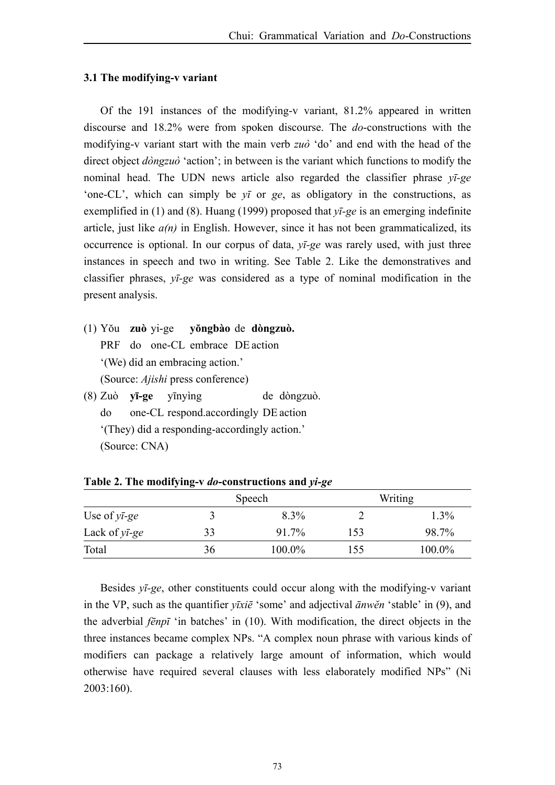#### **3.1 The modifying-v variant**

Of the 191 instances of the modifying-v variant, 81.2% appeared in written discourse and 18.2% were from spoken discourse. The *do*-constructions with the modifying-v variant start with the main verb *zuò* 'do' and end with the head of the direct object *dòngzuò* 'action'; in between is the variant which functions to modify the nominal head. The UDN news article also regarded the classifier phrase *yī-ge* 'one-CL', which can simply be *yī* or *ge*, as obligatory in the constructions, as exemplified in (1) and (8). Huang (1999) proposed that *yī-ge* is an emerging indefinite article, just like *a(n)* in English. However, since it has not been grammaticalized, its occurrence is optional. In our corpus of data, *yī-ge* was rarely used, with just three instances in speech and two in writing. See Table 2. Like the demonstratives and classifier phrases, *yī-ge* was considered as a type of nominal modification in the present analysis.

- (1) Yŏu **zuò** yi-ge **yŏngbào** de **dòngzuò.** PRF do one-CL embrace DE action '(We) did an embracing action.' (Source: *Ajishi* press conference)
- (8) Zuò **yī-ge** yīnyìng de dòngzuò. do one-CL respond.accordingly DE action '(They) did a responding-accordingly action.' (Source: CNA)

|                        |    | Speech    |     | Writing |
|------------------------|----|-----------|-----|---------|
| Use of $y\bar{t}$ -ge  |    | 8.3%      |     | 1.3%    |
| Lack of $y\bar{t}$ -ge | 33 | 91.7%     | 153 | 98.7%   |
| Total                  | 36 | $100.0\%$ | 155 | 100.0%  |

**Table 2. The modifying-v** *do***-constructions and** *yi-ge*

Besides *yī-ge*, other constituents could occur along with the modifying-v variant in the VP, such as the quantifier *yīxiē* 'some' and adjectival *ānwĕn* 'stable' in (9), and the adverbial *fēnpī* 'in batches' in (10). With modification, the direct objects in the three instances became complex NPs. "A complex noun phrase with various kinds of modifiers can package a relatively large amount of information, which would otherwise have required several clauses with less elaborately modified NPs" (Ni 2003:160).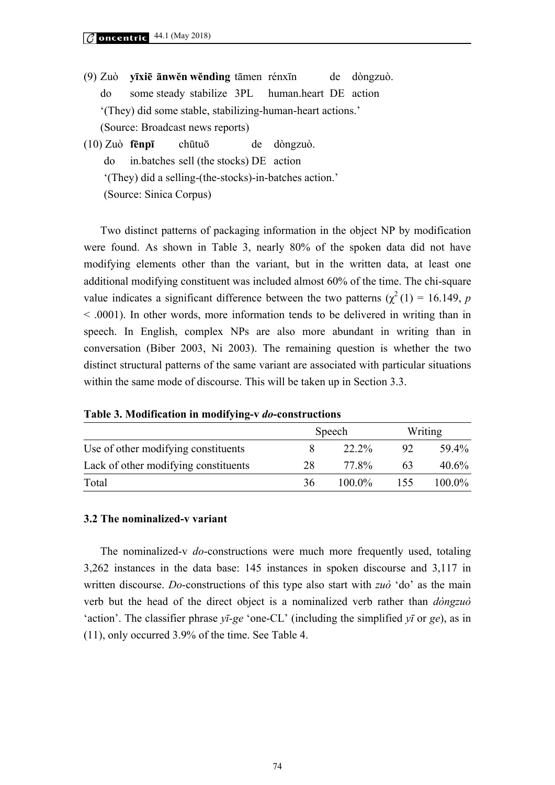- (9) Zuò **yīxiē ānwĕn wĕndìng** tāmen rénxīn de dòngzuò. do some steady stabilize 3PL human.heart DE action '(They) did some stable, stabilizing-human-heart actions.' (Source: Broadcast news reports)
- (10) Zuò **fēnpī** chūtuōde dòngzuò. do in.batches sell (the stocks) DE action '(They) did a selling-(the-stocks)-in-batches action.' (Source: Sinica Corpus)

Two distinct patterns of packaging information in the object NP by modification were found. As shown in Table 3, nearly 80% of the spoken data did not have modifying elements other than the variant, but in the written data, at least one additional modifying constituent was included almost 60% of the time. The chi-square value indicates a significant difference between the two patterns ( $\chi^2(1) = 16.149$ , *p* < .0001). In other words, more information tends to be delivered in writing than in speech. In English, complex NPs are also more abundant in writing than in conversation (Biber 2003, Ni 2003). The remaining question is whether the two distinct structural patterns of the same variant are associated with particular situations within the same mode of discourse. This will be taken up in Section 3.3.

|  |  | Table 3. Modification in modifying-v do-constructions |
|--|--|-------------------------------------------------------|
|  |  |                                                       |

|                                      |    | Speech    |     | Writing   |
|--------------------------------------|----|-----------|-----|-----------|
| Use of other modifying constituents  |    | 22 2%     | 92  | 59.4%     |
| Lack of other modifying constituents | 28 | 77.8%     | 63  | $40.6\%$  |
| Total                                | 36 | $100.0\%$ | 155 | $100.0\%$ |

#### **3.2 The nominalized-v variant**

The nominalized-v *do*-constructions were much more frequently used, totaling 3,262 instances in the data base: 145 instances in spoken discourse and 3,117 in written discourse. *Do*-constructions of this type also start with *zuò* 'do' as the main verb but the head of the direct object is a nominalized verb rather than *dòngzuò* 'action'. The classifier phrase *yī-ge* 'one-CL' (including the simplified *yī* or *ge*), as in (11), only occurred 3.9% of the time. See Table 4.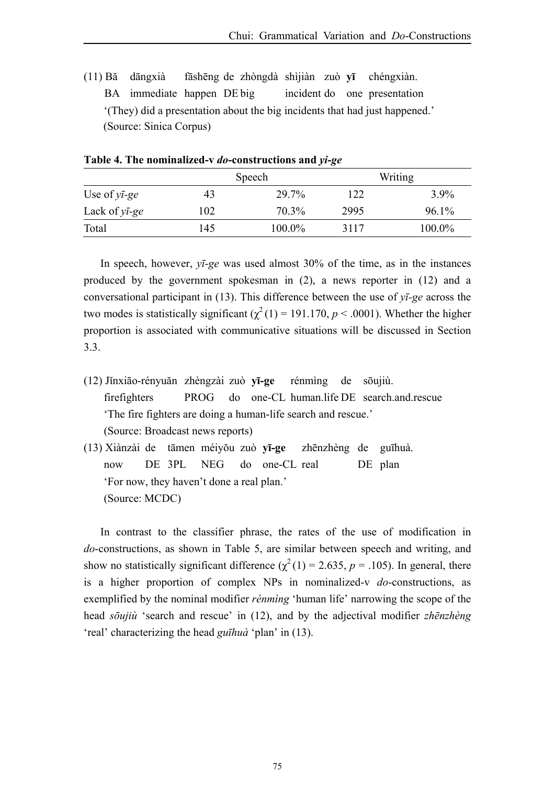(11) Bă dāngxià fāshēng de zhòngdà shìjiàn zuò **yī** chéngxiàn. BA immediate happen DE big incident do one presentation '(They) did a presentation about the big incidents that had just happened.' (Source: Sinica Corpus)

|                        |     | Speech |      | Writing |
|------------------------|-----|--------|------|---------|
| Use of $y\bar{i}$ -ge  | 43  | 29.7%  | 122  | 3.9%    |
| Lack of $y\bar{t}$ -ge | 102 | 70.3%  | 2995 | 96.1%   |
| Total                  | 145 | 100.0% | 3117 | 100.0%  |

**Table 4. The nominalized-v** *do***-constructions and** *yi-ge*

In speech, however, *yī-ge* was used almost 30% of the time, as in the instances produced by the government spokesman in (2), a news reporter in (12) and a conversational participant in (13). This difference between the use of *yī-ge* across the two modes is statistically significant  $(\chi^2(1) = 191.170, p < .0001)$ . Whether the higher proportion is associated with communicative situations will be discussed in Section 3.3.

- (12) Jĭnxiāo-rényuăn zhèngzài zuò **yī-ge** rénmìng de sōujiù. firefighters PROG do one-CL human.life DE search.and.rescue 'The fire fighters are doing a human-life search and rescue.' (Source: Broadcast news reports)
- (13) Xiànzài de tāmen méiyŏu zuò **yī-ge** zhēnzhèng de guīhuà. now DE 3PL NEG do one-CL real DE plan 'For now, they haven't done a real plan.' (Source: MCDC)

In contrast to the classifier phrase, the rates of the use of modification in *do*-constructions, as shown in Table 5, are similar between speech and writing, and show no statistically significant difference  $(\chi^2(1) = 2.635, p = .105)$ . In general, there is a higher proportion of complex NPs in nominalized-v *do*-constructions, as exemplified by the nominal modifier *rénmìng* 'human life' narrowing the scope of the head *sōujiù* 'search and rescue' in (12), and by the adjectival modifier *zhēnzhèng* 'real' characterizing the head *guīhuà* 'plan' in (13).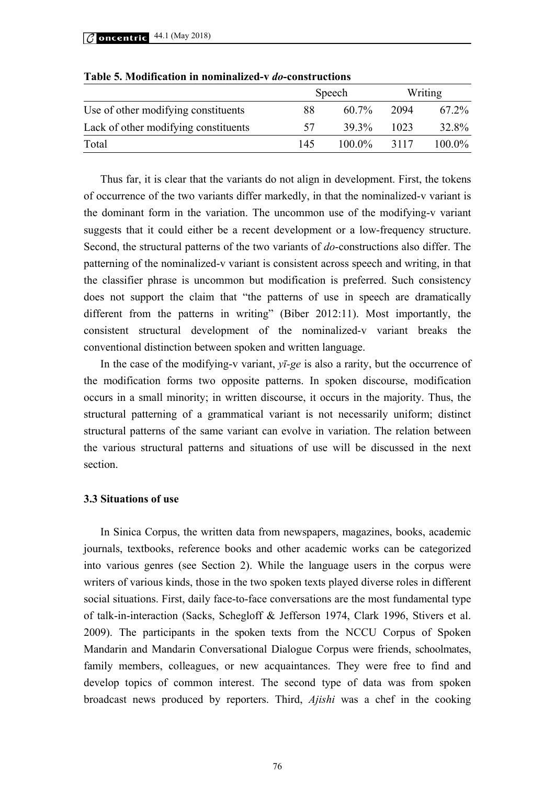|                                      |     | Speech    |      | Writing   |
|--------------------------------------|-----|-----------|------|-----------|
| Use of other modifying constituents  | 88  | $60.7\%$  | 2094 | $672\%$   |
| Lack of other modifying constituents | 57  | $39.3\%$  | 1023 | 32.8%     |
| Total                                | 145 | $100.0\%$ | 3117 | $100.0\%$ |

**Table 5. Modification in nominalized-v** *do***-constructions** 

Thus far, it is clear that the variants do not align in development. First, the tokens of occurrence of the two variants differ markedly, in that the nominalized-v variant is the dominant form in the variation. The uncommon use of the modifying-v variant suggests that it could either be a recent development or a low-frequency structure. Second, the structural patterns of the two variants of *do*-constructions also differ. The patterning of the nominalized-v variant is consistent across speech and writing, in that the classifier phrase is uncommon but modification is preferred. Such consistency does not support the claim that "the patterns of use in speech are dramatically different from the patterns in writing" (Biber 2012:11). Most importantly, the consistent structural development of the nominalized-v variant breaks the conventional distinction between spoken and written language.

In the case of the modifying-v variant, *yī-ge* is also a rarity, but the occurrence of the modification forms two opposite patterns. In spoken discourse, modification occurs in a small minority; in written discourse, it occurs in the majority. Thus, the structural patterning of a grammatical variant is not necessarily uniform; distinct structural patterns of the same variant can evolve in variation. The relation between the various structural patterns and situations of use will be discussed in the next section.

#### **3.3 Situations of use**

In Sinica Corpus, the written data from newspapers, magazines, books, academic journals, textbooks, reference books and other academic works can be categorized into various genres (see Section 2). While the language users in the corpus were writers of various kinds, those in the two spoken texts played diverse roles in different social situations. First, daily face-to-face conversations are the most fundamental type of talk-in-interaction (Sacks, Schegloff & Jefferson 1974, Clark 1996, Stivers et al. 2009). The participants in the spoken texts from the NCCU Corpus of Spoken Mandarin and Mandarin Conversational Dialogue Corpus were friends, schoolmates, family members, colleagues, or new acquaintances. They were free to find and develop topics of common interest. The second type of data was from spoken broadcast news produced by reporters. Third, *Ajishi* was a chef in the cooking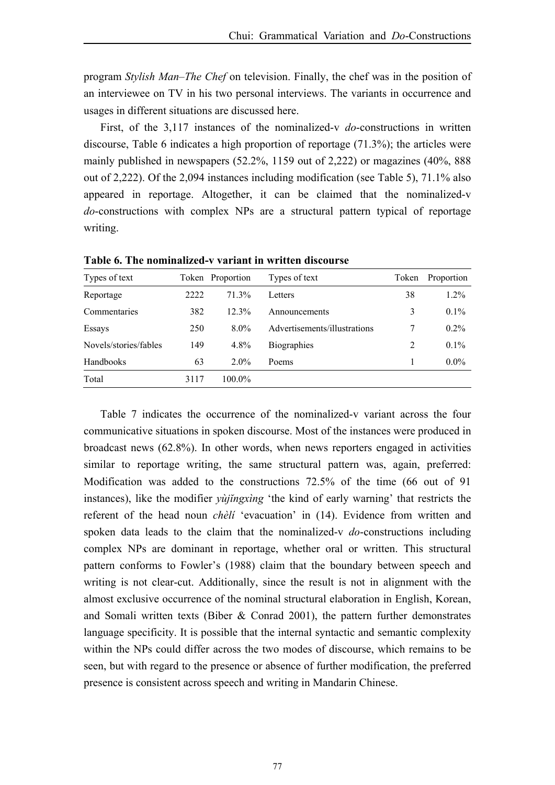program *Stylish Man–The Chef* on television. Finally, the chef was in the position of an interviewee on TV in his two personal interviews. The variants in occurrence and usages in different situations are discussed here.

First, of the 3,117 instances of the nominalized-v *do*-constructions in written discourse, Table 6 indicates a high proportion of reportage (71.3%); the articles were mainly published in newspapers (52.2%, 1159 out of 2,222) or magazines (40%, 888 out of 2,222). Of the 2,094 instances including modification (see Table 5), 71.1% also appeared in reportage. Altogether, it can be claimed that the nominalized-v *do*-constructions with complex NPs are a structural pattern typical of reportage writing.

| Types of text         |      | Token Proportion | Types of text                | Token | Proportion |
|-----------------------|------|------------------|------------------------------|-------|------------|
| Reportage             | 2222 | 71.3%            | Letters                      | 38    | $1.2\%$    |
| Commentaries          | 382  | 12.3%            | Announcements                | 3     | $0.1\%$    |
| Essays                | 250  | $8.0\%$          | Advertisements/illustrations | 7     | $0.2\%$    |
| Novels/stories/fables | 149  | 4.8%             | <b>Biographies</b>           | 2     | $0.1\%$    |
| Handbooks             | 63   | $2.0\%$          | Poems                        |       | $0.0\%$    |
| Total                 | 3117 | 100.0%           |                              |       |            |

**Table 6. The nominalized-v variant in written discourse** 

Table 7 indicates the occurrence of the nominalized-v variant across the four communicative situations in spoken discourse. Most of the instances were produced in broadcast news (62.8%). In other words, when news reporters engaged in activities similar to reportage writing, the same structural pattern was, again, preferred: Modification was added to the constructions 72.5% of the time (66 out of 91 instances), like the modifier *yùjĭngxìng* 'the kind of early warning' that restricts the referent of the head noun *chèlí* 'evacuation' in (14). Evidence from written and spoken data leads to the claim that the nominalized-v *do*-constructions including complex NPs are dominant in reportage, whether oral or written. This structural pattern conforms to Fowler's (1988) claim that the boundary between speech and writing is not clear-cut. Additionally, since the result is not in alignment with the almost exclusive occurrence of the nominal structural elaboration in English, Korean, and Somali written texts (Biber & Conrad 2001), the pattern further demonstrates language specificity. It is possible that the internal syntactic and semantic complexity within the NPs could differ across the two modes of discourse, which remains to be seen, but with regard to the presence or absence of further modification, the preferred presence is consistent across speech and writing in Mandarin Chinese.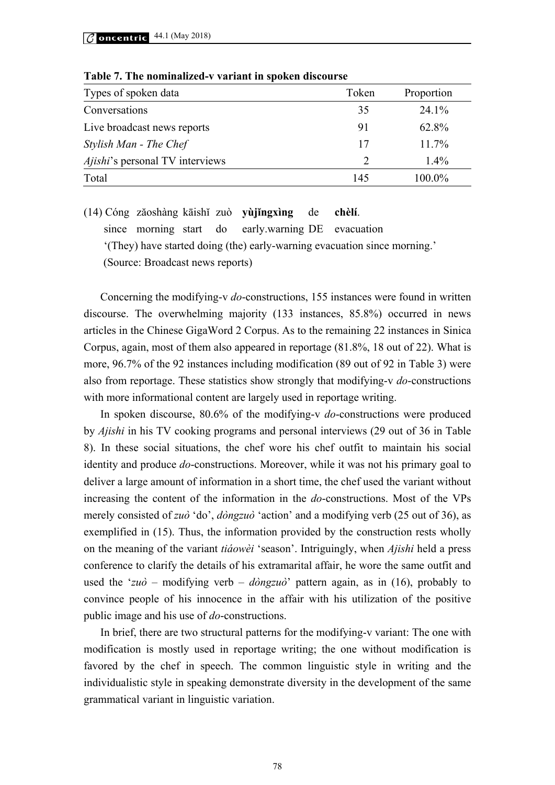| Types of spoken data                   | Token                       | Proportion |
|----------------------------------------|-----------------------------|------------|
| Conversations                          | 35                          | $24.1\%$   |
| Live broadcast news reports            | 91                          | 62.8%      |
| Stylish Man - The Chef                 | 17                          | $11.7\%$   |
| <i>Ajishi's</i> personal TV interviews | $\mathcal{D}_{\mathcal{A}}$ | $1.4\%$    |
| Total                                  | 145                         | $100.0\%$  |

**Table 7. The nominalized-v variant in spoken discourse** 

(14) Cóng zăoshàng kāishĭ zuò **yùjĭngxìng** de **chèlí**. since morning start do early.warning DE evacuation '(They) have started doing (the) early-warning evacuation since morning.' (Source: Broadcast news reports)

Concerning the modifying-v *do*-constructions, 155 instances were found in written discourse. The overwhelming majority (133 instances, 85.8%) occurred in news articles in the Chinese GigaWord 2 Corpus. As to the remaining 22 instances in Sinica Corpus, again, most of them also appeared in reportage (81.8%, 18 out of 22). What is more, 96.7% of the 92 instances including modification (89 out of 92 in Table 3) were also from reportage. These statistics show strongly that modifying-v *do*-constructions with more informational content are largely used in reportage writing.

In spoken discourse, 80.6% of the modifying-v *do*-constructions were produced by *Ajishi* in his TV cooking programs and personal interviews (29 out of 36 in Table 8). In these social situations, the chef wore his chef outfit to maintain his social identity and produce *do*-constructions. Moreover, while it was not his primary goal to deliver a large amount of information in a short time, the chef used the variant without increasing the content of the information in the *do*-constructions. Most of the VPs merely consisted of *zuò* 'do', *dòngzuò* 'action' and a modifying verb (25 out of 36), as exemplified in (15). Thus, the information provided by the construction rests wholly on the meaning of the variant *tiáowèi* 'season'. Intriguingly, when *Ajishi* held a press conference to clarify the details of his extramarital affair, he wore the same outfit and used the '*zuò* – modifying verb – *dòngzuò*' pattern again, as in (16), probably to convince people of his innocence in the affair with his utilization of the positive public image and his use of *do*-constructions.

In brief, there are two structural patterns for the modifying-v variant: The one with modification is mostly used in reportage writing; the one without modification is favored by the chef in speech. The common linguistic style in writing and the individualistic style in speaking demonstrate diversity in the development of the same grammatical variant in linguistic variation.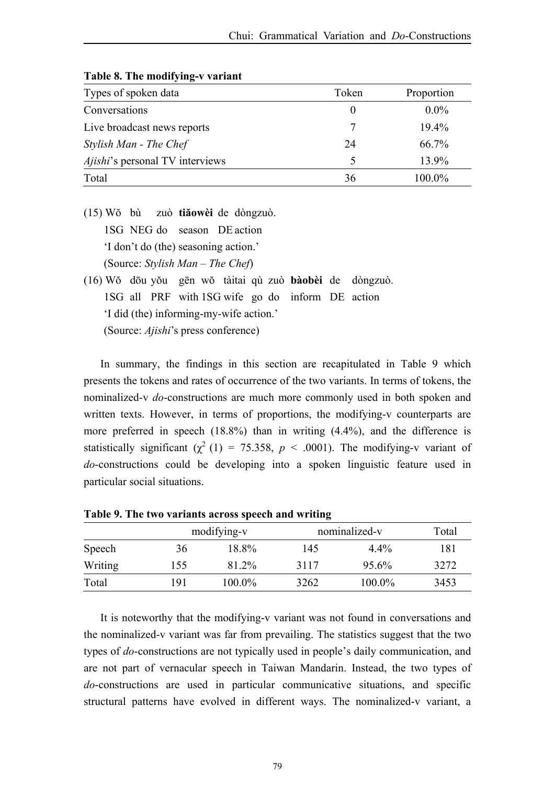| Types of spoken data                   | Token | Proportion |
|----------------------------------------|-------|------------|
| Conversations                          | 0     | $0.0\%$    |
| Live broadcast news reports            |       | 19.4%      |
| Stylish Man - The Chef                 | 24    | 66.7%      |
| <i>Ajishi's</i> personal TV interviews | 5     | 13.9%      |
| Total                                  | 36    | 100.0%     |

**Table 8. The modifying-v variant** 

- (15) Wŏ bù zuò **tiăowèi** de dòngzuò. 1SG NEG do season DE action 'I don't do (the) seasoning action.' (Source: *Stylish Man – The Chef*)
- (16) Wŏ dōu yŏu gēn wŏ tàitai qù zuò **bàobèi** de dòngzuò. 1SG all PRF with 1SG wife go do inform DE action 'I did (the) informing-my-wife action.' (Source: *Ajishi*'s press conference)

In summary, the findings in this section are recapitulated in Table 9 which presents the tokens and rates of occurrence of the two variants. In terms of tokens, the nominalized-v *do*-constructions are much more commonly used in both spoken and written texts. However, in terms of proportions, the modifying-v counterparts are more preferred in speech (18.8%) than in writing (4.4%), and the difference is statistically significant  $\left(\chi^2(1)\right) = 75.358, p \leq .0001$ ). The modifying-v variant of *do*-constructions could be developing into a spoken linguistic feature used in particular social situations.

|         |     |             | -    |               |       |
|---------|-----|-------------|------|---------------|-------|
|         |     | modifying-v |      | nominalized-v | Total |
| Speech  | 36  | 18.8%       | 145  | $4.4\%$       | 181   |
| Writing | 155 | 81.2%       | 3117 | $95.6\%$      | 3272  |
| Total   | 191 | $100.0\%$   | 3262 | $100.0\%$     | 3453  |

**Table 9. The two variants across speech and writing** 

It is noteworthy that the modifying-v variant was not found in conversations and the nominalized-v variant was far from prevailing. The statistics suggest that the two types of *do*-constructions are not typically used in people's daily communication, and are not part of vernacular speech in Taiwan Mandarin. Instead, the two types of *do*-constructions are used in particular communicative situations, and specific structural patterns have evolved in different ways. The nominalized-v variant, a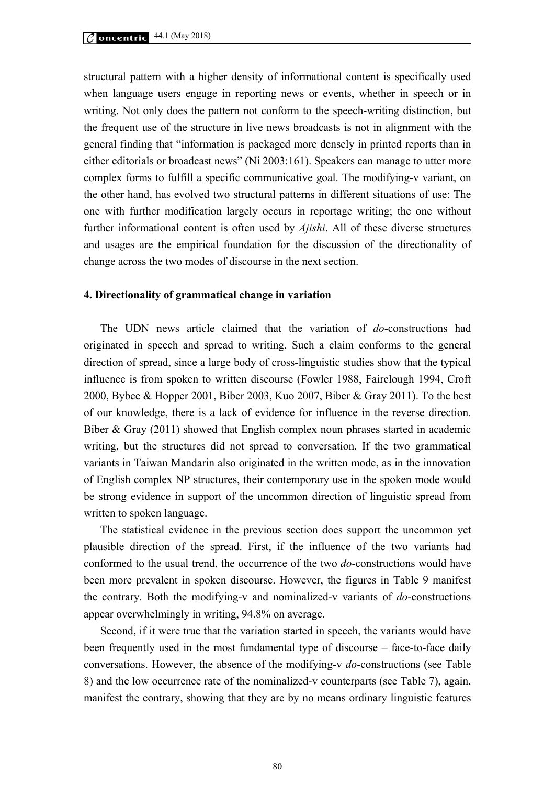structural pattern with a higher density of informational content is specifically used when language users engage in reporting news or events, whether in speech or in writing. Not only does the pattern not conform to the speech-writing distinction, but the frequent use of the structure in live news broadcasts is not in alignment with the general finding that "information is packaged more densely in printed reports than in either editorials or broadcast news" (Ni 2003:161). Speakers can manage to utter more complex forms to fulfill a specific communicative goal. The modifying-v variant, on the other hand, has evolved two structural patterns in different situations of use: The one with further modification largely occurs in reportage writing; the one without further informational content is often used by *Ajishi*. All of these diverse structures and usages are the empirical foundation for the discussion of the directionality of change across the two modes of discourse in the next section.

#### **4. Directionality of grammatical change in variation**

The UDN news article claimed that the variation of *do*-constructions had originated in speech and spread to writing. Such a claim conforms to the general direction of spread, since a large body of cross-linguistic studies show that the typical influence is from spoken to written discourse (Fowler 1988, Fairclough 1994, Croft 2000, Bybee & Hopper 2001, Biber 2003, Kuo 2007, Biber & Gray 2011). To the best of our knowledge, there is a lack of evidence for influence in the reverse direction. Biber & Gray (2011) showed that English complex noun phrases started in academic writing, but the structures did not spread to conversation. If the two grammatical variants in Taiwan Mandarin also originated in the written mode, as in the innovation of English complex NP structures, their contemporary use in the spoken mode would be strong evidence in support of the uncommon direction of linguistic spread from written to spoken language.

The statistical evidence in the previous section does support the uncommon yet plausible direction of the spread. First, if the influence of the two variants had conformed to the usual trend, the occurrence of the two *do*-constructions would have been more prevalent in spoken discourse. However, the figures in Table 9 manifest the contrary. Both the modifying-v and nominalized-v variants of *do*-constructions appear overwhelmingly in writing, 94.8% on average.

Second, if it were true that the variation started in speech, the variants would have been frequently used in the most fundamental type of discourse – face-to-face daily conversations. However, the absence of the modifying-v *do*-constructions (see Table 8) and the low occurrence rate of the nominalized-v counterparts (see Table 7), again, manifest the contrary, showing that they are by no means ordinary linguistic features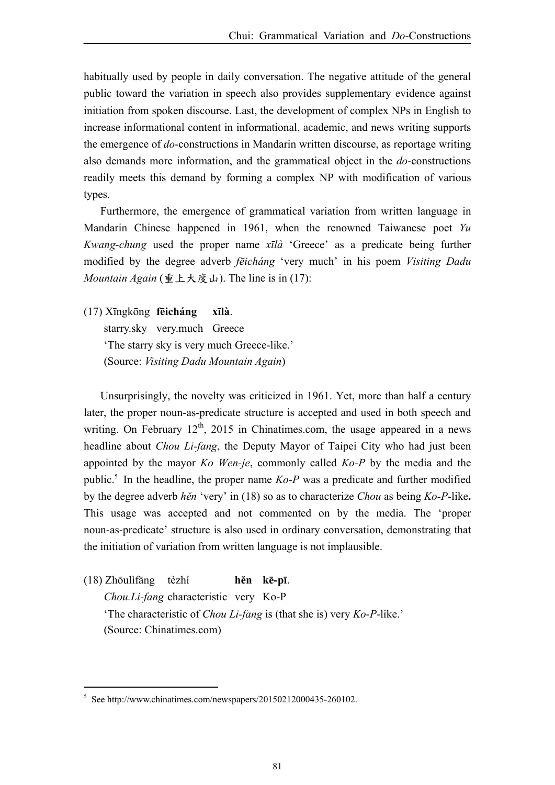habitually used by people in daily conversation. The negative attitude of the general public toward the variation in speech also provides supplementary evidence against initiation from spoken discourse. Last, the development of complex NPs in English to increase informational content in informational, academic, and news writing supports the emergence of *do*-constructions in Mandarin written discourse, as reportage writing also demands more information, and the grammatical object in the *do*-constructions readily meets this demand by forming a complex NP with modification of various types.

Furthermore, the emergence of grammatical variation from written language in Mandarin Chinese happened in 1961, when the renowned Taiwanese poet *Yu Kwang-chung* used the proper name *xīlà* 'Greece' as a predicate being further modified by the degree adverb *fēicháng* 'very much' in his poem *Visiting Dadu Mountain Again* (重上大度山). The line is in (17):

(17) Xīngkōng **fēicháng xīlà**.

starry.sky very.much Greece 'The starry sky is very much Greece-like.' (Source: *Visiting Dadu Mountain Again*)

Unsurprisingly, the novelty was criticized in 1961. Yet, more than half a century later, the proper noun-as-predicate structure is accepted and used in both speech and writing. On February  $12<sup>th</sup>$ , 2015 in Chinatimes.com, the usage appeared in a news headline about *Chou Li-fang*, the Deputy Mayor of Taipei City who had just been appointed by the mayor *Ko Wen-je*, commonly called *Ko-P* by the media and the public.<sup>5</sup> In the headline, the proper name  $Ko-P$  was a predicate and further modified by the degree adverb *hĕn* 'very' in (18) so as to characterize *Chou* as being *Ko-P*-like**.**  This usage was accepted and not commented on by the media. The 'proper noun-as-predicate' structure is also used in ordinary conversation, demonstrating that the initiation of variation from written language is not implausible.

(18) Zhōulìfāngtèzhí **hĕn kē-pī**.

 $\overline{a}$ 

*Chou.Li-fang* characteristic veryKo-P 'The characteristic of *Chou Li-fang* is (that she is) very *Ko*-*P*-like.' (Source: Chinatimes.com)

<sup>5</sup> See http://www.chinatimes.com/newspapers/20150212000435-260102.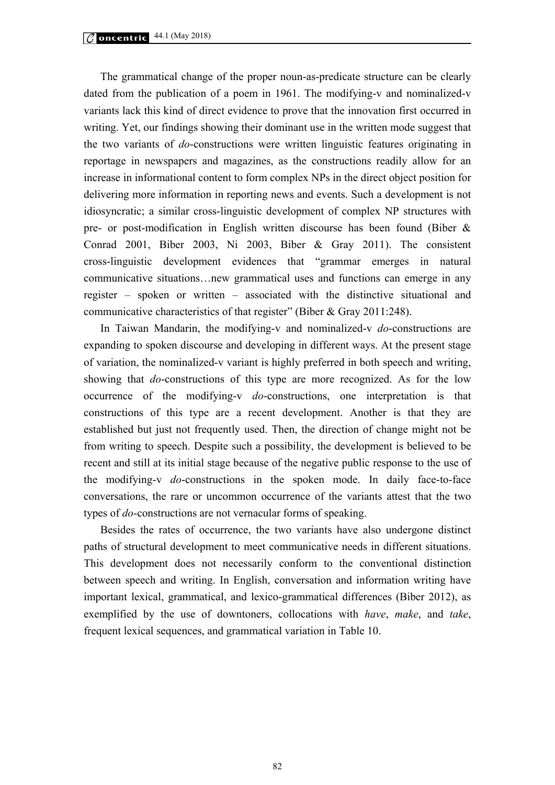The grammatical change of the proper noun-as-predicate structure can be clearly dated from the publication of a poem in 1961. The modifying-v and nominalized-v variants lack this kind of direct evidence to prove that the innovation first occurred in writing. Yet, our findings showing their dominant use in the written mode suggest that the two variants of *do*-constructions were written linguistic features originating in reportage in newspapers and magazines, as the constructions readily allow for an increase in informational content to form complex NPs in the direct object position for delivering more information in reporting news and events. Such a development is not idiosyncratic; a similar cross-linguistic development of complex NP structures with pre- or post-modification in English written discourse has been found (Biber & Conrad 2001, Biber 2003, Ni 2003, Biber & Gray 2011). The consistent cross-linguistic development evidences that "grammar emerges in natural communicative situations…new grammatical uses and functions can emerge in any register – spoken or written – associated with the distinctive situational and communicative characteristics of that register" (Biber & Gray 2011:248).

In Taiwan Mandarin, the modifying-v and nominalized-v *do*-constructions are expanding to spoken discourse and developing in different ways. At the present stage of variation, the nominalized-v variant is highly preferred in both speech and writing, showing that *do*-constructions of this type are more recognized. As for the low occurrence of the modifying-v *do*-constructions, one interpretation is that constructions of this type are a recent development. Another is that they are established but just not frequently used. Then, the direction of change might not be from writing to speech. Despite such a possibility, the development is believed to be recent and still at its initial stage because of the negative public response to the use of the modifying-v *do*-constructions in the spoken mode. In daily face-to-face conversations, the rare or uncommon occurrence of the variants attest that the two types of *do*-constructions are not vernacular forms of speaking.

Besides the rates of occurrence, the two variants have also undergone distinct paths of structural development to meet communicative needs in different situations. This development does not necessarily conform to the conventional distinction between speech and writing. In English, conversation and information writing have important lexical, grammatical, and lexico-grammatical differences (Biber 2012), as exemplified by the use of downtoners, collocations with *have*, *make*, and *take*, frequent lexical sequences, and grammatical variation in Table 10.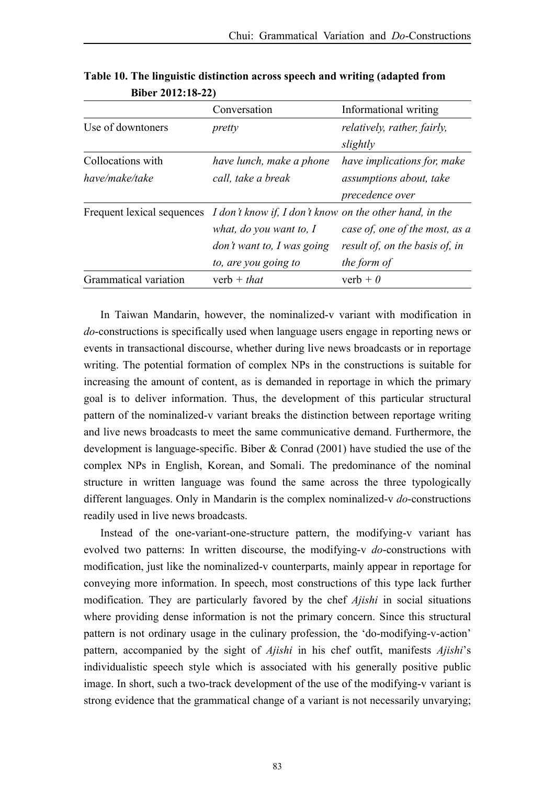|                       | Conversation                                                                       | Informational writing          |
|-----------------------|------------------------------------------------------------------------------------|--------------------------------|
| Use of downtoners     | pretty                                                                             | relatively, rather, fairly,    |
|                       |                                                                                    | slightly                       |
| Collocations with     | have lunch, make a phone                                                           | have implications for, make    |
| have/make/take        | call, take a break                                                                 | assumptions about, take        |
|                       |                                                                                    | precedence over                |
|                       | Frequent lexical sequences I don't know if, I don't know on the other hand, in the |                                |
|                       | what, do you want to, I                                                            | case of, one of the most, as a |
|                       | don't want to, I was going                                                         | result of, on the basis of, in |
|                       | to, are you going to                                                               | the form of                    |
| Grammatical variation | verb + that                                                                        | verb + $\theta$                |

**Table 10. The linguistic distinction across speech and writing (adapted from Biber 2012:18-22)** 

In Taiwan Mandarin, however, the nominalized-v variant with modification in *do*-constructions is specifically used when language users engage in reporting news or events in transactional discourse, whether during live news broadcasts or in reportage writing. The potential formation of complex NPs in the constructions is suitable for increasing the amount of content, as is demanded in reportage in which the primary goal is to deliver information. Thus, the development of this particular structural pattern of the nominalized-v variant breaks the distinction between reportage writing and live news broadcasts to meet the same communicative demand. Furthermore, the development is language-specific. Biber & Conrad (2001) have studied the use of the complex NPs in English, Korean, and Somali. The predominance of the nominal structure in written language was found the same across the three typologically different languages. Only in Mandarin is the complex nominalized-v *do*-constructions readily used in live news broadcasts.

Instead of the one-variant-one-structure pattern, the modifying-v variant has evolved two patterns: In written discourse, the modifying-v *do*-constructions with modification, just like the nominalized-v counterparts, mainly appear in reportage for conveying more information. In speech, most constructions of this type lack further modification. They are particularly favored by the chef *Ajishi* in social situations where providing dense information is not the primary concern. Since this structural pattern is not ordinary usage in the culinary profession, the 'do-modifying-v-action' pattern, accompanied by the sight of *Ajishi* in his chef outfit, manifests *Ajishi*'s individualistic speech style which is associated with his generally positive public image. In short, such a two-track development of the use of the modifying-v variant is strong evidence that the grammatical change of a variant is not necessarily unvarying;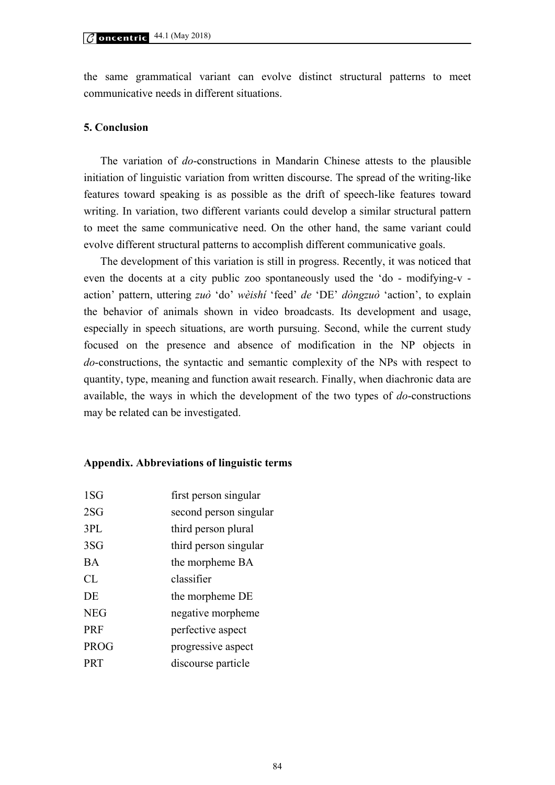the same grammatical variant can evolve distinct structural patterns to meet communicative needs in different situations.

#### **5. Conclusion**

The variation of *do*-constructions in Mandarin Chinese attests to the plausible initiation of linguistic variation from written discourse. The spread of the writing-like features toward speaking is as possible as the drift of speech-like features toward writing. In variation, two different variants could develop a similar structural pattern to meet the same communicative need. On the other hand, the same variant could evolve different structural patterns to accomplish different communicative goals.

The development of this variation is still in progress. Recently, it was noticed that even the docents at a city public zoo spontaneously used the 'do - modifying-v action' pattern, uttering *zuò* 'do' *wèishí* 'feed' *de* 'DE' *dòngzuò* 'action', to explain the behavior of animals shown in video broadcasts. Its development and usage, especially in speech situations, are worth pursuing. Second, while the current study focused on the presence and absence of modification in the NP objects in *do*-constructions, the syntactic and semantic complexity of the NPs with respect to quantity, type, meaning and function await research. Finally, when diachronic data are available, the ways in which the development of the two types of *do*-constructions may be related can be investigated.

#### **Appendix. Abbreviations of linguistic terms**

| 1SG        | first person singular  |
|------------|------------------------|
| 2SG        | second person singular |
| 3PL        | third person plural    |
| 3SG        | third person singular  |
| BA         | the morpheme BA        |
| CL         | classifier             |
| DE         | the morpheme DE        |
| <b>NEG</b> | negative morpheme      |
| PRF        | perfective aspect      |
| PROG       | progressive aspect     |
| PRT        | discourse particle     |
|            |                        |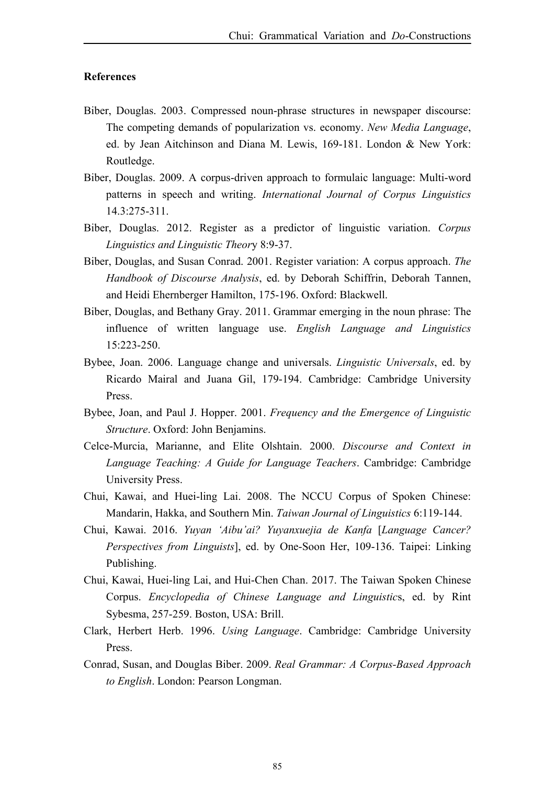## **References**

- Biber, Douglas. 2003. Compressed noun-phrase structures in newspaper discourse: The competing demands of popularization vs. economy. *New Media Language*, ed. by Jean Aitchinson and Diana M. Lewis, 169-181. London & New York: Routledge.
- Biber, Douglas. 2009. A corpus-driven approach to formulaic language: Multi-word patterns in speech and writing. *International Journal of Corpus Linguistics*  14.3:275-311.
- Biber, Douglas. 2012. Register as a predictor of linguistic variation. *Corpus Linguistics and Linguistic Theor*y 8:9-37.
- Biber, Douglas, and Susan Conrad. 2001. Register variation: A corpus approach. *The Handbook of Discourse Analysis*, ed. by Deborah Schiffrin, Deborah Tannen, and Heidi Ehernberger Hamilton, 175-196. Oxford: Blackwell.
- Biber, Douglas, and Bethany Gray. 2011. Grammar emerging in the noun phrase: The influence of written language use. *English Language and Linguistics* 15:223-250.
- Bybee, Joan. 2006. Language change and universals. *Linguistic Universals*, ed. by Ricardo Mairal and Juana Gil, 179-194. Cambridge: Cambridge University Press.
- Bybee, Joan, and Paul J. Hopper. 2001. *Frequency and the Emergence of Linguistic Structure*. Oxford: John Benjamins.
- Celce-Murcia, Marianne, and Elite Olshtain. 2000. *Discourse and Context in Language Teaching: A Guide for Language Teachers*. Cambridge: Cambridge University Press.
- Chui, Kawai, and Huei-ling Lai. 2008. The NCCU Corpus of Spoken Chinese: Mandarin, Hakka, and Southern Min. *Taiwan Journal of Linguistics* 6:119-144.
- Chui, Kawai. 2016. *Yuyan 'Aibu'ai? Yuyanxuejia de Kanfa* [*Language Cancer? Perspectives from Linguists*], ed. by One-Soon Her, 109-136. Taipei: Linking Publishing.
- Chui, Kawai, Huei-ling Lai, and Hui-Chen Chan. 2017. The Taiwan Spoken Chinese Corpus. *Encyclopedia of Chinese Language and Linguistic*s, ed. by Rint Sybesma, 257-259. Boston, USA: Brill.
- Clark, Herbert Herb. 1996. *Using Language*. Cambridge: Cambridge University Press.
- Conrad, Susan, and Douglas Biber. 2009. *Real Grammar: A Corpus-Based Approach to English*. London: Pearson Longman.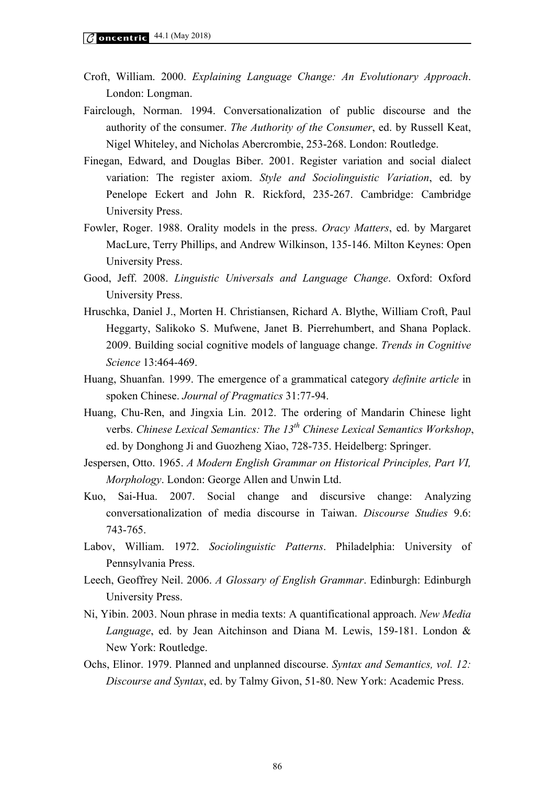- Croft, William. 2000. *Explaining Language Change: An Evolutionary Approach*. London: Longman.
- Fairclough, Norman. 1994. Conversationalization of public discourse and the authority of the consumer. *The Authority of the Consumer*, ed. by Russell Keat, Nigel Whiteley, and Nicholas Abercrombie, 253-268. London: Routledge.
- Finegan, Edward, and Douglas Biber. 2001. Register variation and social dialect variation: The register axiom. *Style and Sociolinguistic Variation*, ed. by Penelope Eckert and John R. Rickford, 235-267. Cambridge: Cambridge University Press.
- Fowler, Roger. 1988. Orality models in the press. *Oracy Matters*, ed. by Margaret MacLure, Terry Phillips, and Andrew Wilkinson, 135-146. Milton Keynes: Open University Press.
- Good, Jeff. 2008. *Linguistic Universals and Language Change*. Oxford: Oxford University Press.
- Hruschka, Daniel J., Morten H. Christiansen, Richard A. Blythe, William Croft, Paul Heggarty, Salikoko S. Mufwene, Janet B. Pierrehumbert, and Shana Poplack. 2009. Building social cognitive models of language change. *Trends in Cognitive Science* 13:464-469.
- Huang, Shuanfan. 1999. The emergence of a grammatical category *definite article* in spoken Chinese. *Journal of Pragmatics* 31:77-94.
- Huang, Chu-Ren, and Jingxia Lin. 2012. The ordering of Mandarin Chinese light verbs. *Chinese Lexical Semantics: The 13th Chinese Lexical Semantics Workshop*, ed. by Donghong Ji and Guozheng Xiao, 728-735. Heidelberg: Springer.
- Jespersen, Otto. 1965. *A Modern English Grammar on Historical Principles, Part VI, Morphology*. London: George Allen and Unwin Ltd.
- Kuo, Sai-Hua. 2007. Social change and discursive change: Analyzing conversationalization of media discourse in Taiwan. *Discourse Studies* 9.6: 743-765.
- Labov, William. 1972. *Sociolinguistic Patterns*. Philadelphia: University of Pennsylvania Press.
- Leech, Geoffrey Neil. 2006. *A Glossary of English Grammar*. Edinburgh: Edinburgh University Press.
- Ni, Yibin. 2003. Noun phrase in media texts: A quantificational approach. *New Media Language*, ed. by Jean Aitchinson and Diana M. Lewis, 159-181. London & New York: Routledge.
- Ochs, Elinor. 1979. Planned and unplanned discourse. *Syntax and Semantics, vol. 12: Discourse and Syntax*, ed. by Talmy Givon, 51-80. New York: Academic Press.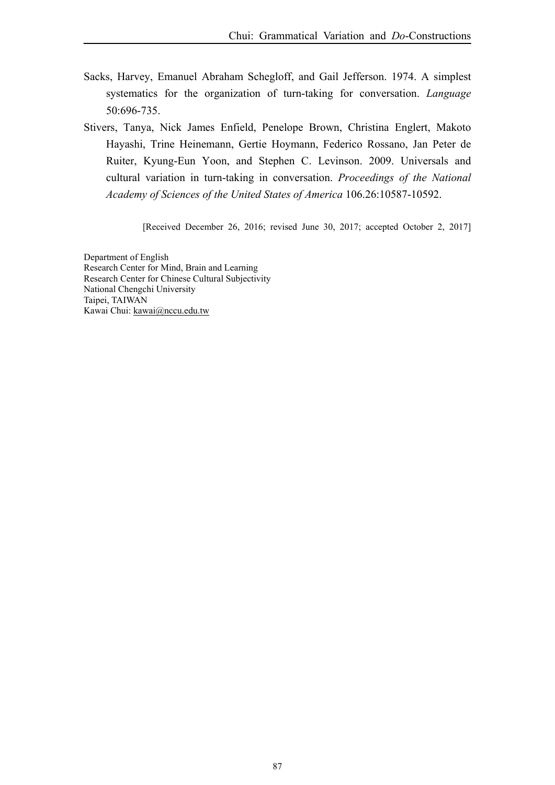- Sacks, Harvey, Emanuel Abraham Schegloff, and Gail Jefferson. 1974. A simplest systematics for the organization of turn-taking for conversation. *Language* 50:696-735.
- Stivers, Tanya, Nick James Enfield, Penelope Brown, Christina Englert, Makoto Hayashi, Trine Heinemann, Gertie Hoymann, Federico Rossano, Jan Peter de Ruiter, Kyung-Eun Yoon, and Stephen C. Levinson. 2009. Universals and cultural variation in turn-taking in conversation. *Proceedings of the National Academy of Sciences of the United States of America* 106.26:10587-10592.

[Received December 26, 2016; revised June 30, 2017; accepted October 2, 2017]

Department of English Research Center for Mind, Brain and Learning Research Center for Chinese Cultural Subjectivity National Chengchi University Taipei, TAIWAN Kawai Chui: kawai@nccu.edu.tw